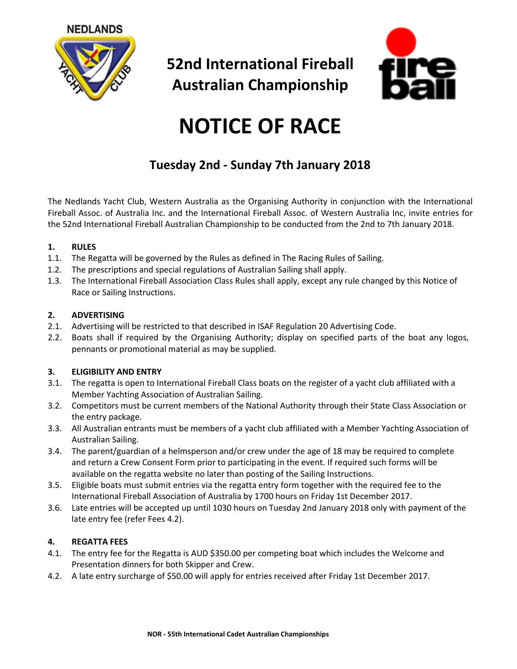

**52nd International Fireball Australian Championship**



# **NOTICE OF RACE**

# **Tuesday 2nd - Sunday 7th January 2018**

The Nedlands Yacht Club, Western Australia as the Organising Authority in conjunction with the International Fireball Assoc. of Australia Inc. and the International Fireball Assoc. of Western Australia Inc, invite entries for the 52nd International Fireball Australian Championship to be conducted from the 2nd to 7th January 2018.

# **1. RULES**

- 1.1. The Regatta will be governed by the Rules as defined in The Racing Rules of Sailing.
- 1.2. The prescriptions and special regulations of Australian Sailing shall apply.
- 1.3. The International Fireball Association Class Rules shall apply, except any rule changed by this Notice of Race or Sailing Instructions.

#### **2. ADVERTISING**

- 2.1. Advertising will be restricted to that described in ISAF Regulation 20 Advertising Code.
- 2.2. Boats shall if required by the Organising Authority; display on specified parts of the boat any logos, pennants or promotional material as may be supplied.

# **3. ELIGIBILITY AND ENTRY**

- 3.1. The regatta is open to International Fireball Class boats on the register of a yacht club affiliated with a Member Yachting Association of Australian Sailing.
- 3.2. Competitors must be current members of the National Authority through their State Class Association or the entry package.
- 3.3. All Australian entrants must be members of a yacht club affiliated with a Member Yachting Association of Australian Sailing.
- 3.4. The parent/guardian of a helmsperson and/or crew under the age of 18 may be required to complete and return a Crew Consent Form prior to participating in the event. If required such forms will be available on the regatta website no later than posting of the Sailing Instructions.
- 3.5. Eligible boats must submit entries via the regatta entry form together with the required fee to the International Fireball Association of Australia by 1700 hours on Friday 1st December 2017.
- 3.6. Late entries will be accepted up until 1030 hours on Tuesday 2nd January 2018 only with payment of the late entry fee (refer Fees 4.2).

# **4. REGATTA FEES**

- 4.1. The entry fee for the Regatta is AUD \$350.00 per competing boat which includes the Welcome and Presentation dinners for both Skipper and Crew.
- 4.2. A late entry surcharge of \$50.00 will apply for entries received after Friday 1st December 2017.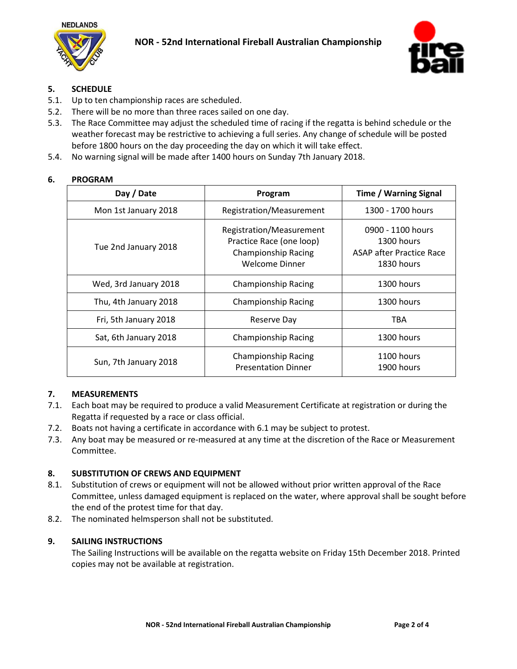



# **5. SCHEDULE**

- 5.1. Up to ten championship races are scheduled.
- 5.2. There will be no more than three races sailed on one day.
- 5.3. The Race Committee may adjust the scheduled time of racing if the regatta is behind schedule or the weather forecast may be restrictive to achieving a full series. Any change of schedule will be posted before 1800 hours on the day proceeding the day on which it will take effect.
- 5.4. No warning signal will be made after 1400 hours on Sunday 7th January 2018.

#### **6. PROGRAM**

| Day / Date            | Program                                                                                                     | <b>Time / Warning Signal</b>                                                     |
|-----------------------|-------------------------------------------------------------------------------------------------------------|----------------------------------------------------------------------------------|
| Mon 1st January 2018  | Registration/Measurement                                                                                    | 1300 - 1700 hours                                                                |
| Tue 2nd January 2018  | Registration/Measurement<br>Practice Race (one loop)<br><b>Championship Racing</b><br><b>Welcome Dinner</b> | 0900 - 1100 hours<br>1300 hours<br><b>ASAP after Practice Race</b><br>1830 hours |
| Wed, 3rd January 2018 | <b>Championship Racing</b>                                                                                  | 1300 hours                                                                       |
| Thu, 4th January 2018 | <b>Championship Racing</b>                                                                                  | 1300 hours                                                                       |
| Fri, 5th January 2018 | Reserve Day                                                                                                 | TBA                                                                              |
| Sat, 6th January 2018 | <b>Championship Racing</b>                                                                                  | 1300 hours                                                                       |
| Sun, 7th January 2018 | <b>Championship Racing</b><br><b>Presentation Dinner</b>                                                    | 1100 hours<br>1900 hours                                                         |

#### **7. MEASUREMENTS**

- 7.1. Each boat may be required to produce a valid Measurement Certificate at registration or during the Regatta if requested by a race or class official.
- 7.2. Boats not having a certificate in accordance with 6.1 may be subject to protest.
- 7.3. Any boat may be measured or re-measured at any time at the discretion of the Race or Measurement Committee.

#### **8. SUBSTITUTION OF CREWS AND EQUIPMENT**

- 8.1. Substitution of crews or equipment will not be allowed without prior written approval of the Race Committee, unless damaged equipment is replaced on the water, where approval shall be sought before the end of the protest time for that day.
- 8.2. The nominated helmsperson shall not be substituted.

#### **9. SAILING INSTRUCTIONS**

The Sailing Instructions will be available on the regatta website on Friday 15th December 2018. Printed copies may not be available at registration.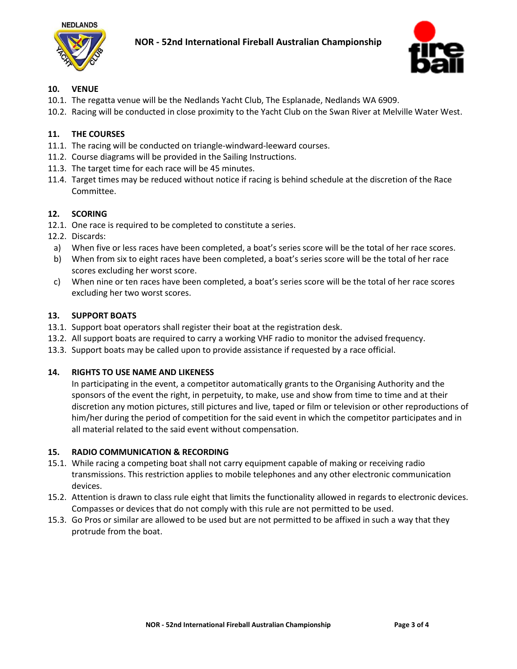



#### **10. VENUE**

- 10.1. The regatta venue will be the Nedlands Yacht Club, The Esplanade, Nedlands WA 6909.
- 10.2. Racing will be conducted in close proximity to the Yacht Club on the Swan River at Melville Water West.

# **11. THE COURSES**

- 11.1. The racing will be conducted on triangle-windward-leeward courses.
- 11.2. Course diagrams will be provided in the Sailing Instructions.
- 11.3. The target time for each race will be 45 minutes.
- 11.4. Target times may be reduced without notice if racing is behind schedule at the discretion of the Race Committee.

#### **12. SCORING**

- 12.1. One race is required to be completed to constitute a series.
- 12.2. Discards:
	- a) When five or less races have been completed, a boat's series score will be the total of her race scores.
	- b) When from six to eight races have been completed, a boat's series score will be the total of her race scores excluding her worst score.
- c) When nine or ten races have been completed, a boat's series score will be the total of her race scores excluding her two worst scores.

# **13. SUPPORT BOATS**

- 13.1. Support boat operators shall register their boat at the registration desk.
- 13.2. All support boats are required to carry a working VHF radio to monitor the advised frequency.
- 13.3. Support boats may be called upon to provide assistance if requested by a race official.

#### **14. RIGHTS TO USE NAME AND LIKENESS**

In participating in the event, a competitor automatically grants to the Organising Authority and the sponsors of the event the right, in perpetuity, to make, use and show from time to time and at their discretion any motion pictures, still pictures and live, taped or film or television or other reproductions of him/her during the period of competition for the said event in which the competitor participates and in all material related to the said event without compensation.

#### **15. RADIO COMMUNICATION & RECORDING**

- 15.1. While racing a competing boat shall not carry equipment capable of making or receiving radio transmissions. This restriction applies to mobile telephones and any other electronic communication devices.
- 15.2. Attention is drawn to class rule eight that limits the functionality allowed in regards to electronic devices. Compasses or devices that do not comply with this rule are not permitted to be used.
- 15.3. Go Pros or similar are allowed to be used but are not permitted to be affixed in such a way that they protrude from the boat.